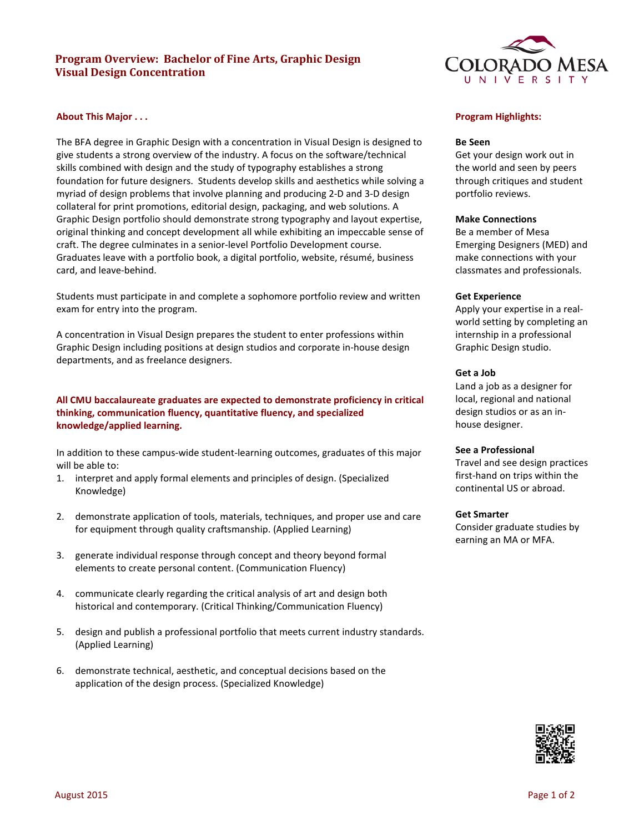# **Program Overview: Bachelor of Fine Arts, Graphic Design Visual Design Concentration**

## **About This Major . . .**

The BFA degree in Graphic Design with a concentration in Visual Design is designed to give students a strong overview of the industry. A focus on the software/technical skills combined with design and the study of typography establishes a strong foundation for future designers. Students develop skills and aesthetics while solving a myriad of design problems that involve planning and producing 2-D and 3-D design collateral for print promotions, editorial design, packaging, and web solutions. A Graphic Design portfolio should demonstrate strong typography and layout expertise, original thinking and concept development all while exhibiting an impeccable sense of craft. The degree culminates in a senior-level Portfolio Development course. Graduates leave with a portfolio book, a digital portfolio, website, résumé, business card, and leave-behind.

Students must participate in and complete a sophomore portfolio review and written exam for entry into the program.

A concentration in Visual Design prepares the student to enter professions within Graphic Design including positions at design studios and corporate in-house design departments, and as freelance designers.

# **All CMU baccalaureate graduates are expected to demonstrate proficiency in critical thinking, communication fluency, quantitative fluency, and specialized knowledge/applied learning.**

In addition to these campus-wide student-learning outcomes, graduates of this major will be able to:

- 1. interpret and apply formal elements and principles of design. (Specialized Knowledge)
- 2. demonstrate application of tools, materials, techniques, and proper use and care for equipment through quality craftsmanship. (Applied Learning)
- 3. generate individual response through concept and theory beyond formal elements to create personal content. (Communication Fluency)
- 4. communicate clearly regarding the critical analysis of art and design both historical and contemporary. (Critical Thinking/Communication Fluency)
- 5. design and publish a professional portfolio that meets current industry standards. (Applied Learning)
- 6. demonstrate technical, aesthetic, and conceptual decisions based on the application of the design process. (Specialized Knowledge)



## **Program Highlights:**

### **Be Seen**

Get your design work out in the world and seen by peers through critiques and student portfolio reviews.

### **Make Connections**

Be a member of Mesa Emerging Designers (MED) and make connections with your classmates and professionals.

#### **Get Experience**

Apply your expertise in a realworld setting by completing an internship in a professional Graphic Design studio.

#### **Get a Job**

Land a job as a designer for local, regional and national design studios or as an inhouse designer.

## **See a Professional**

Travel and see design practices first-hand on trips within the continental US or abroad.

### **Get Smarter**

Consider graduate studies by earning an MA or MFA.